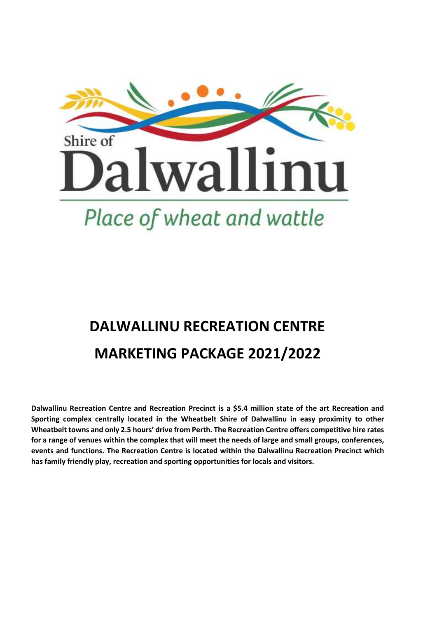

# **DALWALLINU RECREATION CENTRE MARKETING PACKAGE 2021/2022**

**Dalwallinu Recreation Centre and Recreation Precinct is a \$5.4 million state of the art Recreation and Sporting complex centrally located in the Wheatbelt Shire of Dalwallinu in easy proximity to other Wheatbelt towns and only 2.5 hours' drive from Perth. The Recreation Centre offers competitive hire rates for a range of venues within the complex that will meet the needs of large and small groups, conferences, events and functions. The Recreation Centre is located within the Dalwallinu Recreation Precinct which has family friendly play, recreation and sporting opportunities for locals and visitors.**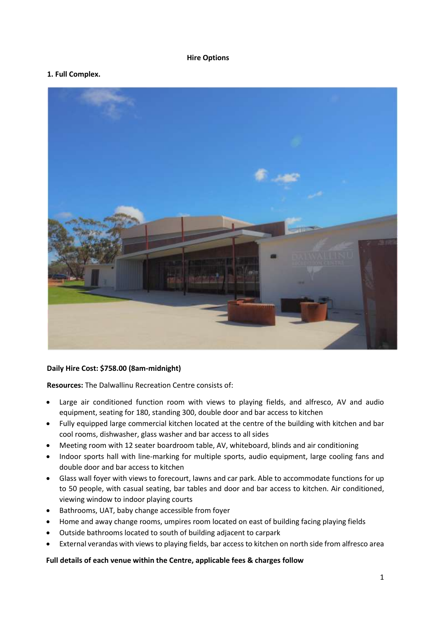#### **Hire Options**

#### **1. Full Complex.**



#### **Daily Hire Cost: \$758.00 (8am-midnight)**

**Resources:** The Dalwallinu Recreation Centre consists of:

- Large air conditioned function room with views to playing fields, and alfresco, AV and audio equipment, seating for 180, standing 300, double door and bar access to kitchen
- Fully equipped large commercial kitchen located at the centre of the building with kitchen and bar cool rooms, dishwasher, glass washer and bar access to all sides
- Meeting room with 12 seater boardroom table, AV, whiteboard, blinds and air conditioning
- Indoor sports hall with line-marking for multiple sports, audio equipment, large cooling fans and double door and bar access to kitchen
- Glass wall foyer with views to forecourt, lawns and car park. Able to accommodate functions for up to 50 people, with casual seating, bar tables and door and bar access to kitchen. Air conditioned, viewing window to indoor playing courts
- Bathrooms, UAT, baby change accessible from foyer
- Home and away change rooms, umpires room located on east of building facing playing fields
- Outside bathrooms located to south of building adjacent to carpark
- External verandas with views to playing fields, bar access to kitchen on north side from alfresco area

#### **Full details of each venue within the Centre, applicable fees & charges follow**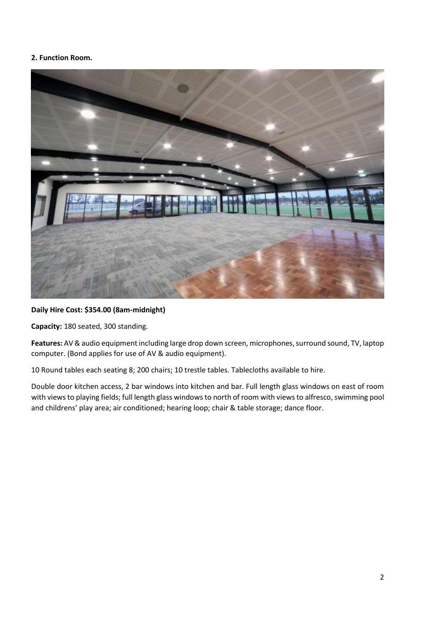#### **2. Function Room.**



#### **Daily Hire Cost: \$354.00 (8am-midnight)**

**Capacity:** 180 seated, 300 standing.

**Features:** AV & audio equipment including large drop down screen, microphones, surround sound, TV, laptop computer. (Bond applies for use of AV & audio equipment).

10 Round tables each seating 8; 200 chairs; 10 trestle tables. Tablecloths available to hire.

Double door kitchen access, 2 bar windows into kitchen and bar. Full length glass windows on east of room with views to playing fields; full length glass windows to north of room with views to alfresco, swimming pool and childrens' play area; air conditioned; hearing loop; chair & table storage; dance floor.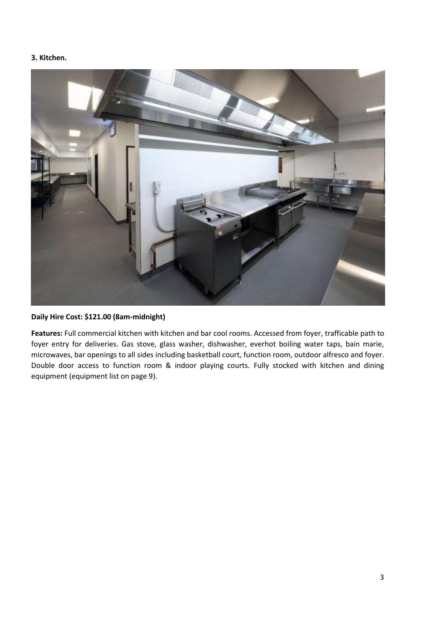#### **3. Kitchen.**



**Daily Hire Cost: \$121.00 (8am-midnight)**

**Features:** Full commercial kitchen with kitchen and bar cool rooms. Accessed from foyer, trafficable path to foyer entry for deliveries. Gas stove, glass washer, dishwasher, everhot boiling water taps, bain marie, microwaves, bar openings to all sides including basketball court, function room, outdoor alfresco and foyer. Double door access to function room & indoor playing courts. Fully stocked with kitchen and dining equipment (equipment list on page 9).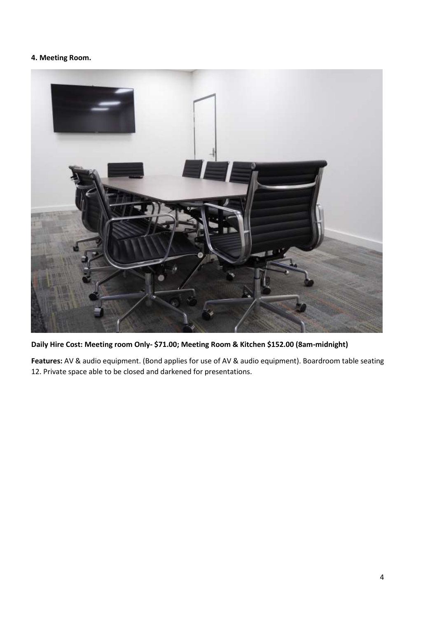# **4. Meeting Room.**



**Daily Hire Cost: Meeting room Only- \$71.00; Meeting Room & Kitchen \$152.00 (8am-midnight)**

**Features:** AV & audio equipment. (Bond applies for use of AV & audio equipment). Boardroom table seating 12. Private space able to be closed and darkened for presentations.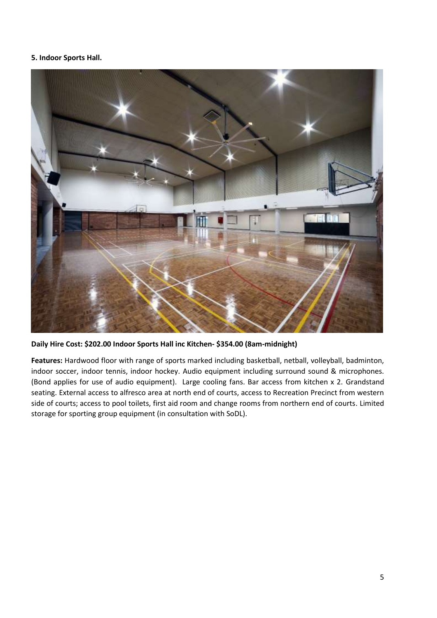#### **5. Indoor Sports Hall.**



**Daily Hire Cost: \$202.00 Indoor Sports Hall inc Kitchen- \$354.00 (8am-midnight)**

**Features:** Hardwood floor with range of sports marked including basketball, netball, volleyball, badminton, indoor soccer, indoor tennis, indoor hockey. Audio equipment including surround sound & microphones. (Bond applies for use of audio equipment). Large cooling fans. Bar access from kitchen x 2. Grandstand seating. External access to alfresco area at north end of courts, access to Recreation Precinct from western side of courts; access to pool toilets, first aid room and change rooms from northern end of courts. Limited storage for sporting group equipment (in consultation with SoDL).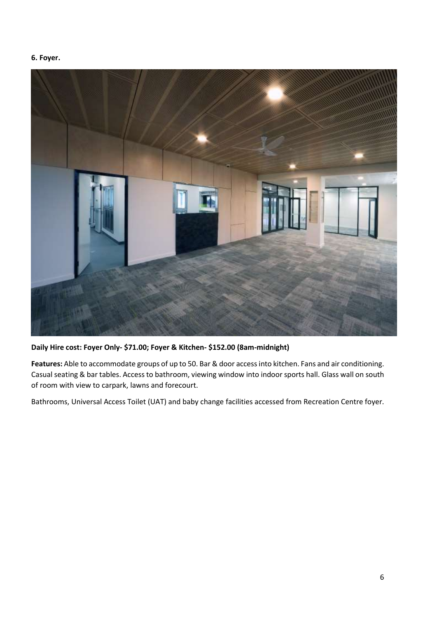#### **6. Foyer.**

![](_page_6_Picture_1.jpeg)

**Daily Hire cost: Foyer Only- \$71.00; Foyer & Kitchen- \$152.00 (8am-midnight)**

**Features:** Able to accommodate groups of up to 50. Bar & door access into kitchen. Fans and air conditioning. Casual seating & bar tables. Access to bathroom, viewing window into indoor sports hall. Glass wall on south of room with view to carpark, lawns and forecourt.

Bathrooms, Universal Access Toilet (UAT) and baby change facilities accessed from Recreation Centre foyer.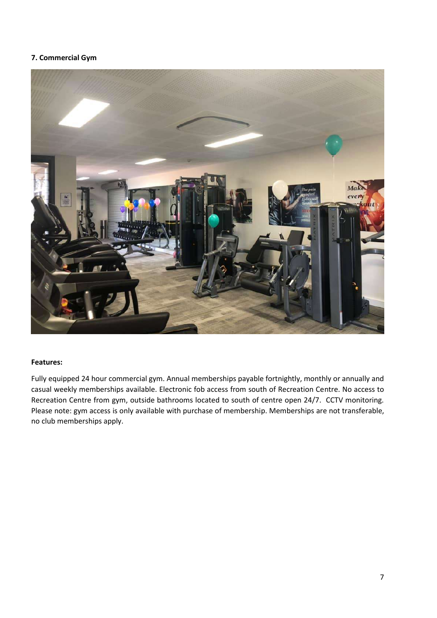#### **7. Commercial Gym**

![](_page_7_Picture_1.jpeg)

#### **Features:**

Fully equipped 24 hour commercial gym. Annual memberships payable fortnightly, monthly or annually and casual weekly memberships available. Electronic fob access from south of Recreation Centre. No access to Recreation Centre from gym, outside bathrooms located to south of centre open 24/7. CCTV monitoring. Please note: gym access is only available with purchase of membership. Memberships are not transferable, no club memberships apply.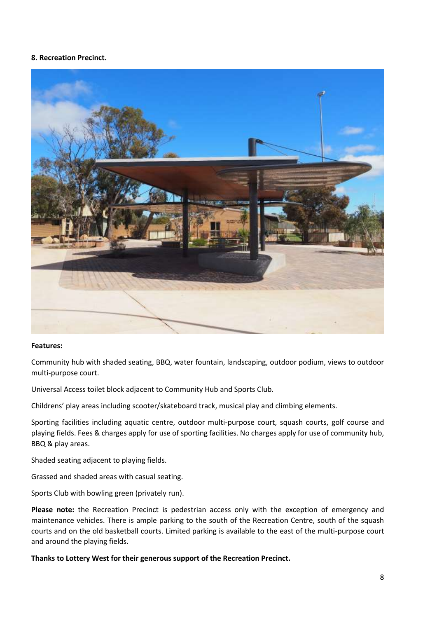#### **8. Recreation Precinct.**

![](_page_8_Picture_1.jpeg)

#### **Features:**

Community hub with shaded seating, BBQ, water fountain, landscaping, outdoor podium, views to outdoor multi-purpose court.

Universal Access toilet block adjacent to Community Hub and Sports Club.

Childrens' play areas including scooter/skateboard track, musical play and climbing elements.

Sporting facilities including aquatic centre, outdoor multi-purpose court, squash courts, golf course and playing fields. Fees & charges apply for use of sporting facilities. No charges apply for use of community hub, BBQ & play areas.

Shaded seating adjacent to playing fields.

Grassed and shaded areas with casual seating.

Sports Club with bowling green (privately run).

**Please note:** the Recreation Precinct is pedestrian access only with the exception of emergency and maintenance vehicles. There is ample parking to the south of the Recreation Centre, south of the squash courts and on the old basketball courts. Limited parking is available to the east of the multi-purpose court and around the playing fields.

**Thanks to Lottery West for their generous support of the Recreation Precinct.**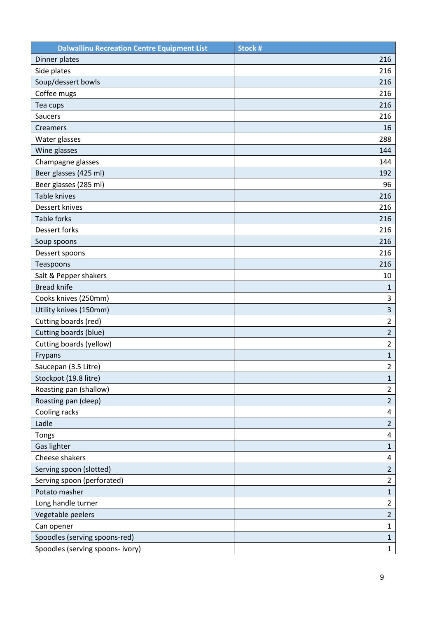| <b>Dalwallinu Recreation Centre Equipment List</b> | Stock #                 |
|----------------------------------------------------|-------------------------|
| Dinner plates                                      | 216                     |
| Side plates                                        | 216                     |
| Soup/dessert bowls                                 | 216                     |
| Coffee mugs                                        | 216                     |
| Tea cups                                           | 216                     |
| Saucers                                            | 216                     |
| Creamers                                           | 16                      |
| Water glasses                                      | 288                     |
| Wine glasses                                       | 144                     |
| Champagne glasses                                  | 144                     |
| Beer glasses (425 ml)                              | 192                     |
| Beer glasses (285 ml)                              | 96                      |
| <b>Table knives</b>                                | 216                     |
| Dessert knives                                     | 216                     |
| <b>Table forks</b>                                 | 216                     |
| Dessert forks                                      | 216                     |
| Soup spoons                                        | 216                     |
| Dessert spoons                                     | 216                     |
| Teaspoons                                          | 216                     |
| Salt & Pepper shakers                              | 10                      |
| <b>Bread knife</b>                                 | $\mathbf{1}$            |
| Cooks knives (250mm)                               | 3                       |
| Utility knives (150mm)                             | $\overline{\mathbf{3}}$ |
| Cutting boards (red)                               | $\overline{2}$          |
| Cutting boards (blue)                              | $\overline{2}$          |
| Cutting boards (yellow)                            | $\overline{2}$          |
| Frypans                                            | $\mathbf 1$             |
| Saucepan (3.5 Litre)                               | $\overline{2}$          |
| Stockpot (19.8 litre)                              | $\mathbf{1}$            |
| Roasting pan (shallow)                             | $\overline{2}$          |
| Roasting pan (deep)                                | $\overline{2}$          |
| Cooling racks                                      | 4                       |
| Ladle                                              | $\overline{2}$          |
| Tongs                                              | 4                       |
| Gas lighter                                        | $\mathbf{1}$            |
| Cheese shakers                                     | 4                       |
| Serving spoon (slotted)                            | $\overline{2}$          |
| Serving spoon (perforated)                         | $\overline{2}$          |
| Potato masher                                      | $\mathbf{1}$            |
| Long handle turner                                 | $\overline{2}$          |
| Vegetable peelers                                  | $\overline{2}$          |
| Can opener                                         | $\mathbf{1}$            |
| Spoodles (serving spoons-red)                      | $\mathbf{1}$            |
| Spoodles (serving spoons- ivory)                   | $1\,$                   |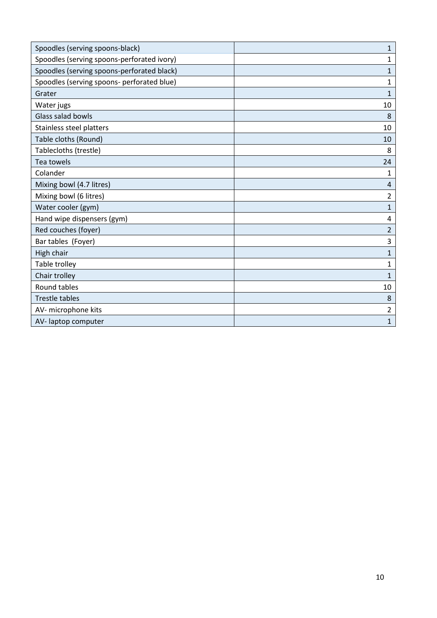| Spoodles (serving spoons-black)            | $\mathbf 1$  |
|--------------------------------------------|--------------|
| Spoodles (serving spoons-perforated ivory) | $\mathbf{1}$ |
| Spoodles (serving spoons-perforated black) | $\mathbf{1}$ |
| Spoodles (serving spoons- perforated blue) | 1            |
| Grater                                     | $\mathbf{1}$ |
| Water jugs                                 | 10           |
| Glass salad bowls                          | 8            |
| Stainless steel platters                   | 10           |
| Table cloths (Round)                       | 10           |
| Tablecloths (trestle)                      | 8            |
| Tea towels                                 | 24           |
| Colander                                   | 1            |
| Mixing bowl (4.7 litres)                   | 4            |
| Mixing bowl (6 litres)                     | 2            |
| Water cooler (gym)                         | 1            |
| Hand wipe dispensers (gym)                 | 4            |
| Red couches (foyer)                        | 2            |
| Bar tables (Foyer)                         | 3            |
| High chair                                 | 1            |
| Table trolley                              | 1            |
| Chair trolley                              | 1            |
| Round tables                               | 10           |
| Trestle tables                             | 8            |
| AV- microphone kits                        | 2            |
| AV-laptop computer                         | $\mathbf{1}$ |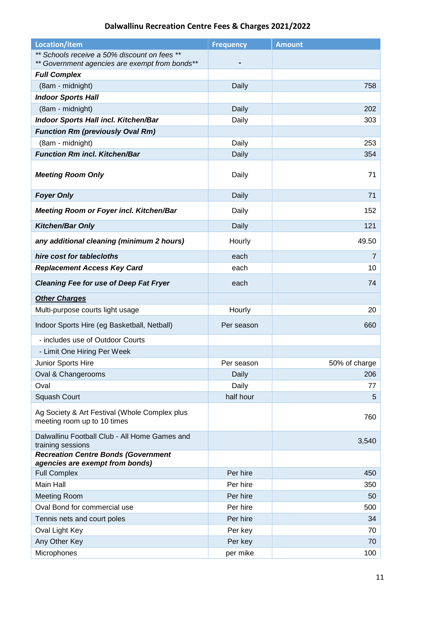# **Dalwallinu Recreation Centre Fees & Charges 2021/2022**

| <b>Location/item</b>                                                                           | <b>Frequency</b> | <b>Amount</b>  |
|------------------------------------------------------------------------------------------------|------------------|----------------|
| ** Schools receive a 50% discount on fees **<br>** Government agencies are exempt from bonds** |                  |                |
| <b>Full Complex</b>                                                                            |                  |                |
| (8am - midnight)                                                                               | Daily            | 758            |
| <b>Indoor Sports Hall</b>                                                                      |                  |                |
| (8am - midnight)                                                                               | Daily            | 202            |
| <b>Indoor Sports Hall incl. Kitchen/Bar</b>                                                    | Daily            | 303            |
| <b>Function Rm (previously Oval Rm)</b>                                                        |                  |                |
| (8am - midnight)                                                                               | Daily            | 253            |
| <b>Function Rm incl. Kitchen/Bar</b>                                                           | Daily            | 354            |
| <b>Meeting Room Only</b>                                                                       | Daily            | 71             |
| <b>Foyer Only</b>                                                                              | Daily            | 71             |
| <b>Meeting Room or Foyer incl. Kitchen/Bar</b>                                                 | Daily            | 152            |
| <b>Kitchen/Bar Only</b>                                                                        | Daily            | 121            |
| any additional cleaning (minimum 2 hours)                                                      | Hourly           | 49.50          |
| hire cost for tablecloths                                                                      | each             | $\overline{7}$ |
| <b>Replacement Access Key Card</b>                                                             | each             | 10             |
| <b>Cleaning Fee for use of Deep Fat Fryer</b>                                                  | each             | 74             |
| <b>Other Charges</b>                                                                           |                  |                |
| Multi-purpose courts light usage                                                               | Hourly           | 20             |
| Indoor Sports Hire (eg Basketball, Netball)                                                    | Per season       | 660            |
| - includes use of Outdoor Courts                                                               |                  |                |
| - Limit One Hiring Per Week                                                                    |                  |                |
| Junior Sports Hire                                                                             | Per season       | 50% of charge  |
| Oval & Changerooms                                                                             | Daily            | 206            |
| Oval                                                                                           | Daily            | 77             |
| Squash Court                                                                                   | half hour        | 5              |
| Ag Society & Art Festival (Whole Complex plus<br>meeting room up to 10 times                   |                  | 760            |
| Dalwallinu Football Club - All Home Games and<br>training sessions                             |                  | 3,540          |
| <b>Recreation Centre Bonds (Government</b><br>agencies are exempt from bonds)                  |                  |                |
| <b>Full Complex</b>                                                                            | Per hire         | 450            |
| <b>Main Hall</b>                                                                               | Per hire         | 350            |
| <b>Meeting Room</b>                                                                            | Per hire         | 50             |
| Oval Bond for commercial use                                                                   | Per hire         | 500            |
| Tennis nets and court poles                                                                    | Per hire         | 34             |
| Oval Light Key                                                                                 | Per key          | 70             |
| Any Other Key                                                                                  | Per key          | 70             |
| Microphones                                                                                    | per mike         | 100            |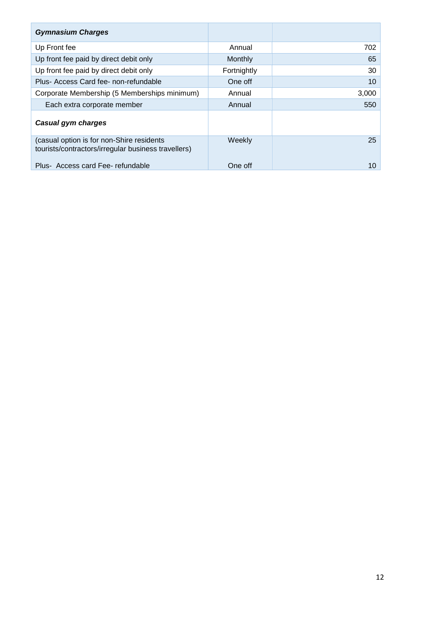| <b>Gymnasium Charges</b>                                                                         |             |       |
|--------------------------------------------------------------------------------------------------|-------------|-------|
| Up Front fee                                                                                     | Annual      | 702   |
| Up front fee paid by direct debit only                                                           | Monthly     | 65    |
| Up front fee paid by direct debit only                                                           | Fortnightly | 30    |
| Plus- Access Card fee- non-refundable                                                            | One off     | 10    |
| Corporate Membership (5 Memberships minimum)                                                     | Annual      | 3,000 |
| Each extra corporate member                                                                      | Annual      | 550   |
| Casual gym charges                                                                               |             |       |
| (casual option is for non-Shire residents<br>tourists/contractors/irregular business travellers) | Weekly      | 25    |
| Plus-Access card Fee-refundable                                                                  | One off     | 10    |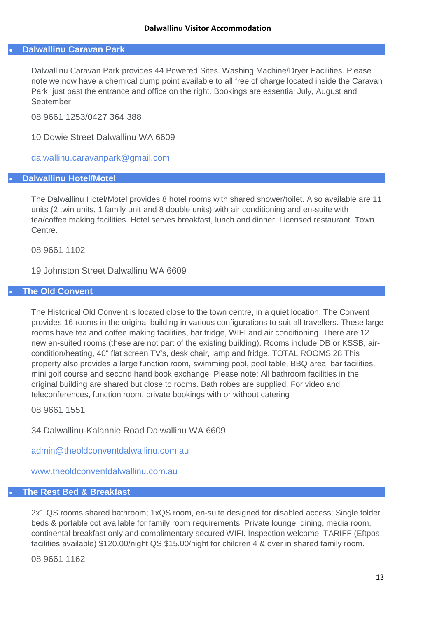#### **Dalwallinu Caravan Park**

Dalwallinu Caravan Park provides 44 Powered Sites. Washing Machine/Dryer Facilities. Please note we now have a chemical dump point available to all free of charge located inside the Caravan Park, just past the entrance and office on the right. Bookings are essential July, August and September

08 9661 1253/0427 364 388

10 Dowie Street Dalwallinu WA 6609

[dalwallinu.caravanpark@gmail.com](mailto:dalwallinu.caravanpark@gmail.com)

#### **Dalwallinu Hotel/Motel**

The Dalwallinu Hotel/Motel provides 8 hotel rooms with shared shower/toilet. Also available are 11 units (2 twin units, 1 family unit and 8 double units) with air conditioning and en-suite with tea/coffee making facilities. Hotel serves breakfast, lunch and dinner. Licensed restaurant. Town Centre.

08 9661 1102

19 Johnston Street Dalwallinu WA 6609

#### **The Old Convent**

The Historical Old Convent is located close to the town centre, in a quiet location. The Convent provides 16 rooms in the original building in various configurations to suit all travellers. These large rooms have tea and coffee making facilities, bar fridge, WIFI and air conditioning. There are 12 new en-suited rooms (these are not part of the existing building). Rooms include DB or KSSB, aircondition/heating, 40" flat screen TV's, desk chair, lamp and fridge. TOTAL ROOMS 28 This property also provides a large function room, swimming pool, pool table, BBQ area, bar facilities, mini golf course and second hand book exchange. Please note: All bathroom facilities in the original building are shared but close to rooms. Bath robes are supplied. For video and teleconferences, function room, private bookings with or without catering

08 9661 1551

34 Dalwallinu-Kalannie Road Dalwallinu WA 6609

[admin@theoldconventdalwallinu.com.au](mailto:admin@theoldconventdalwallinu.com.au)

[www.theoldconventdalwallinu.com.au](http://www.theoldconventdalwallinu.com.au/).

# **The Rest Bed & Breakfast**

2x1 QS rooms shared bathroom; 1xQS room, en-suite designed for disabled access; Single folder beds & portable cot available for family room requirements; Private lounge, dining, media room, continental breakfast only and complimentary secured WIFI. Inspection welcome. TARIFF (Eftpos facilities available) \$120.00/night QS \$15.00/night for children 4 & over in shared family room.

08 9661 1162